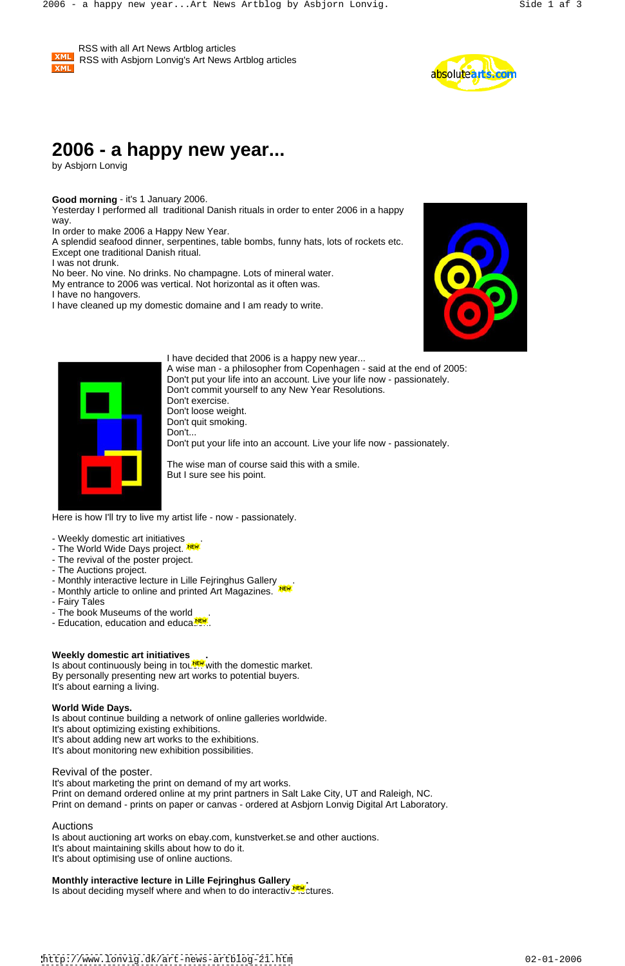**XML** 

 RSS with all Art News Artblog articles RSS with Asbjorn Lonvig's Art News Artblog articles



Yesterday I performed all traditional Danish rituals in order to enter 2006 in a happy way.

# **2006 - a happy new year...**

by Asbjorn Lonvig

# **Good morning** - it's 1 January 2006.

In order to make 2006 a Happy New Year.

A splendid seafood dinner, serpentines, table bombs, funny hats, lots of rockets etc. Except one traditional Danish ritual.

I was not drunk.

No beer. No vine. No drinks. No champagne. Lots of mineral water.

My entrance to 2006 was vertical. Not horizontal as it often was.

- Weekly domestic art initiatives .
- The World Wide Days project. NERT
- The revival of the poster project.
- The Auctions project.
- Monthly interactive lecture in Lille Fejringhus Gallery .
- Monthly article to online and printed Art Magazines. NERT
- Fairy Tales
- The book Museums of the world .
- Education, education and educa.<sup>NEW</sup>...

I have no hangovers.

I have cleaned up my domestic domaine and I am ready to write.





I have decided that 2006 is a happy new year...

Is about continuously being in toured with the domestic market. By personally presenting new art works to potential buyers. It's about earning a living.

A wise man - a philosopher from Copenhagen - said at the end of 2005: Don't put your life into an account. Live your life now - passionately. Don't commit yourself to any New Year Resolutions. Don't exercise. Don't loose weight. Don't quit smoking. Don't... Don't put your life into an account. Live your life now - passionately.

The wise man of course said this with a smile. But I sure see his point.

Here is how I'll try to live my artist life - now - passionately.

# **Weekly domestic art initiatives .**

### **World Wide Days.**

Is about continue building a network of online galleries worldwide. It's about optimizing existing exhibitions. It's about adding new art works to the exhibitions. It's about monitoring new exhibition possibilities.

Revival of the poster.

It's about marketing the print on demand of my art works. Print on demand ordered online at my print partners in Salt Lake City, UT and Raleigh, NC. Print on demand - prints on paper or canvas - ordered at Asbjorn Lonvig Digital Art Laboratory.

# Auctions

Is about auctioning art works on ebay.com, kunstverket.se and other auctions. It's about maintaining skills about how to do it. It's about optimising use of online auctions.

## **Monthly interactive lecture in Lille Fejringhus Gallery .**

Is about deciding myself where and when to do interactive lettures.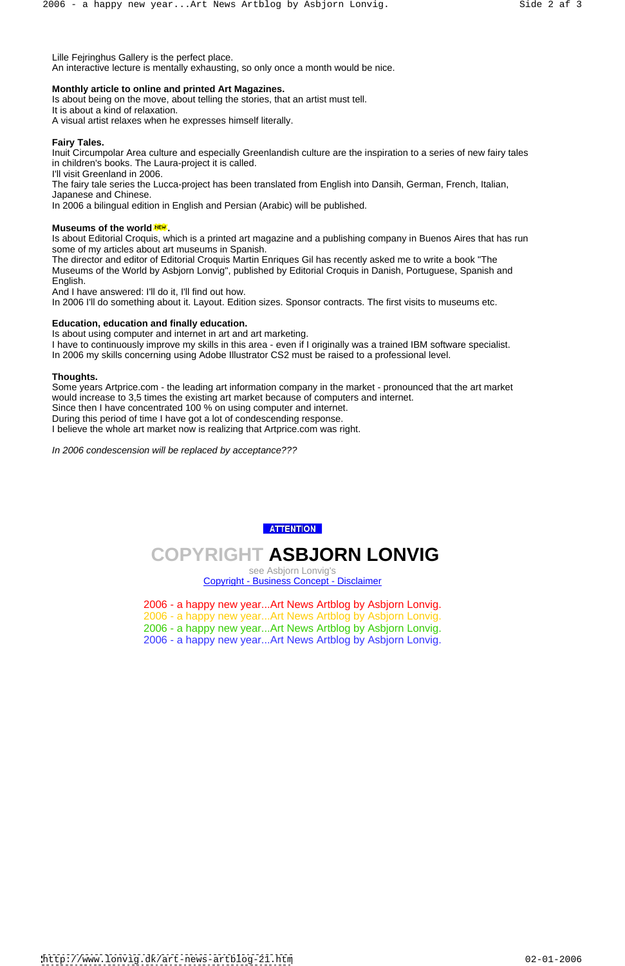Lille Fejringhus Gallery is the perfect place.

An interactive lecture is mentally exhausting, so only once a month would be nice.

# **Monthly article to online and printed Art Magazines.**

Is about being on the move, about telling the stories, that an artist must tell. It is about a kind of relaxation. A visual artist relaxes when he expresses himself literally.

# **Fairy Tales.**

Inuit Circumpolar Area culture and especially Greenlandish culture are the inspiration to a series of new fairy tales in children's books. The Laura-project it is called.

I'll visit Greenland in 2006.

The fairy tale series the Lucca-project has been translated from English into Dansih, German, French, Italian, Japanese and Chinese.

In 2006 a bilingual edition in English and Persian (Arabic) will be published.

# **Museums of the world .**

Is about Editorial Croquis, which is a printed art magazine and a publishing company in Buenos Aires that has run some of my articles about art museums in Spanish.

The director and editor of Editorial Croquis Martin Enriques Gil has recently asked me to write a book "The Museums of the World by Asbjorn Lonvig", published by Editorial Croquis in Danish, Portuguese, Spanish and English.

And I have answered: I'll do it, I'll find out how.

In 2006 I'll do something about it. Layout. Edition sizes. Sponsor contracts. The first visits to museums etc.

### **Education, education and finally education.**

Is about using computer and internet in art and art marketing.

I have to continuously improve my skills in this area - even if I originally was a trained IBM software specialist. In 2006 my skills concerning using Adobe Illustrator CS2 must be raised to a professional level.

#### **Thoughts.**

Some years Artprice.com - the leading art information company in the market - pronounced that the art market would increase to 3,5 times the existing art market because of computers and internet.

Since then I have concentrated 100 % on using computer and internet.

During this period of time I have got a lot of condescending response.

I believe the whole art market now is realizing that Artprice.com was right.

In 2006 condescension will be replaced by acceptance???

# **ATTENTION**

# **COPYRIGHT ASBJORN LONVIG**

see Asbjorn Lonvig's Copyright - Business Concept - Disclaimer

2006 - a happy new year...Art News Artblog by Asbjorn Lonvig. 2006 - a happy new year...Art News Artblog by Asbjorn Lonvig. 2006 - a happy new year...Art News Artblog by Asbjorn Lonvig. 2006 - a happy new year...Art News Artblog by Asbjorn Lonvig.

<http://www.lonvig.dk/art-news-artblog-21.htm> 02-01-2006